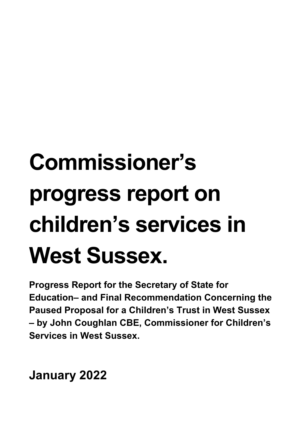# **Commissioner's progress report on children's services in West Sussex.**

**Progress Report for the Secretary of State for Education– and Final Recommendation Concerning the Paused Proposal for a Children's Trust in West Sussex – by John Coughlan CBE, Commissioner for Children's Services in West Sussex.**

**January 2022**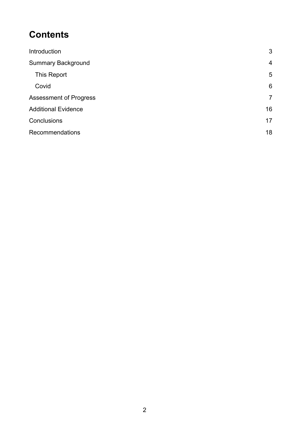## **Contents**

| Introduction                  | 3              |
|-------------------------------|----------------|
| <b>Summary Background</b>     | $\overline{4}$ |
| This Report                   | $\overline{5}$ |
| Covid                         | 6              |
| <b>Assessment of Progress</b> | $\overline{7}$ |
| <b>Additional Evidence</b>    | 16             |
| Conclusions                   | 17             |
| Recommendations               | 18             |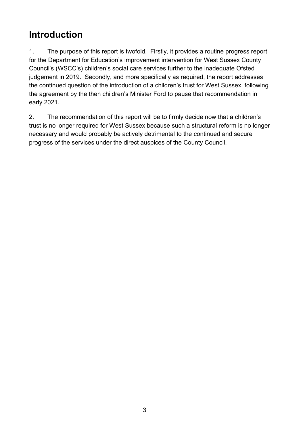## <span id="page-2-0"></span>**Introduction**

1. The purpose of this report is twofold. Firstly, it provides a routine progress report for the Department for Education's improvement intervention for West Sussex County Council's (WSCC's) children's social care services further to the inadequate Ofsted judgement in 2019. Secondly, and more specifically as required, the report addresses the continued question of the introduction of a children's trust for West Sussex, following the agreement by the then children's Minister Ford to pause that recommendation in early 2021.

2. The recommendation of this report will be to firmly decide now that a children's trust is no longer required for West Sussex because such a structural reform is no longer necessary and would probably be actively detrimental to the continued and secure progress of the services under the direct auspices of the County Council.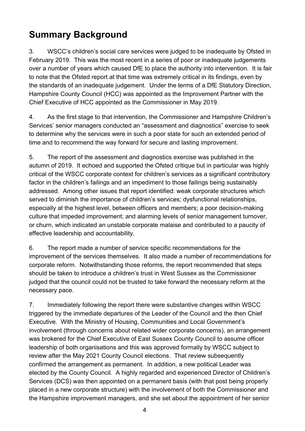# <span id="page-3-0"></span>**Summary Background**

3. WSCC's children's social care services were judged to be inadequate by Ofsted in February 2019. This was the most recent in a series of poor or inadequate judgements over a number of years which caused DfE to place the authority into intervention. It is fair to note that the Ofsted report at that time was extremely critical in its findings, even by the standards of an inadequate judgement. Under the terms of a DfE Statutory Direction, Hampshire County Council (HCC) was appointed as the Improvement Partner with the Chief Executive of HCC appointed as the Commissioner in May 2019.

4. As the first stage to that intervention, the Commissioner and Hampshire Children's Services' senior managers conducted an "assessment and diagnostics" exercise to seek to determine why the services were in such a poor state for such an extended period of time and to recommend the way forward for secure and lasting improvement.

5. The report of the assessment and diagnostics exercise was published in the autumn of 2019. It echoed and supported the Ofsted critique but in particular was highly critical of the WSCC corporate context for children's services as a significant contributory factor in the children's failings and an impediment to those failings being sustainably addressed. Among other issues that report identified: weak corporate structures which served to diminish the importance of children's services; dysfunctional relationships, especially at the highest level, between officers and members; a poor decision-making culture that impeded improvement; and alarming levels of senior management turnover, or churn, which indicated an unstable corporate malaise and contributed to a paucity of effective leadership and accountability.

6. The report made a number of service specific recommendations for the improvement of the services themselves. It also made a number of recommendations for corporate reform. Notwithstanding those reforms, the report recommended that steps should be taken to introduce a children's trust in West Sussex as the Commissioner judged that the council could not be trusted to take forward the necessary reform at the necessary pace.

7. Immediately following the report there were substantive changes within WSCC triggered by the immediate departures of the Leader of the Council and the then Chief Executive. With the Ministry of Housing, Communities and Local Government's involvement (through concerns about related wider corporate concerns), an arrangement was brokered for the Chief Executive of East Sussex County Council to assume officer leadership of both organisations and this was approved formally by WSCC subject to review after the May 2021 County Council elections. That review subsequently confirmed the arrangement as permanent. In addition, a new political Leader was elected by the County Council. A highly regarded and experienced Director of Children's Services (DCS) was then appointed on a permanent basis (with that post being properly placed in a new corporate structure) with the involvement of both the Commissioner and the Hampshire improvement managers, and she set about the appointment of her senior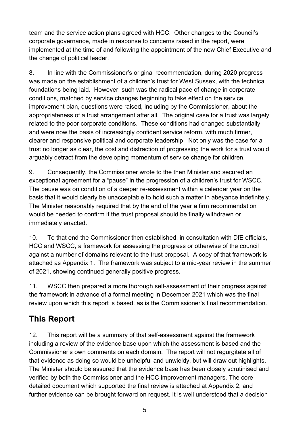team and the service action plans agreed with HCC. Other changes to the Council's corporate governance, made in response to concerns raised in the report, were implemented at the time of and following the appointment of the new Chief Executive and the change of political leader.

8. In line with the Commissioner's original recommendation, during 2020 progress was made on the establishment of a children's trust for West Sussex, with the technical foundations being laid. However, such was the radical pace of change in corporate conditions, matched by service changes beginning to take effect on the service improvement plan, questions were raised, including by the Commissioner, about the appropriateness of a trust arrangement after all. The original case for a trust was largely related to the poor corporate conditions. These conditions had changed substantially and were now the basis of increasingly confident service reform, with much firmer, clearer and responsive political and corporate leadership. Not only was the case for a trust no longer as clear, the cost and distraction of progressing the work for a trust would arguably detract from the developing momentum of service change for children,

9. Consequently, the Commissioner wrote to the then Minister and secured an exceptional agreement for a "pause" in the progression of a children's trust for WSCC. The pause was on condition of a deeper re-assessment within a calendar year on the basis that it would clearly be unacceptable to hold such a matter in abeyance indefinitely. The Minister reasonably required that by the end of the year a firm recommendation would be needed to confirm if the trust proposal should be finally withdrawn or immediately enacted.

10. To that end the Commissioner then established, in consultation with DfE officials, HCC and WSCC, a framework for assessing the progress or otherwise of the council against a number of domains relevant to the trust proposal. A copy of that framework is attached as Appendix 1. The framework was subject to a mid-year review in the summer of 2021, showing continued generally positive progress.

11. WSCC then prepared a more thorough self-assessment of their progress against the framework in advance of a formal meeting in December 2021 which was the final review upon which this report is based, as is the Commissioner's final recommendation.

### <span id="page-4-0"></span>**This Report**

12. This report will be a summary of that self-assessment against the framework including a review of the evidence base upon which the assessment is based and the Commissioner's own comments on each domain. The report will not regurgitate all of that evidence as doing so would be unhelpful and unwieldy, but will draw out highlights. The Minister should be assured that the evidence base has been closely scrutinised and verified by both the Commissioner and the HCC improvement managers. The core detailed document which supported the final review is attached at Appendix 2, and further evidence can be brought forward on request. It is well understood that a decision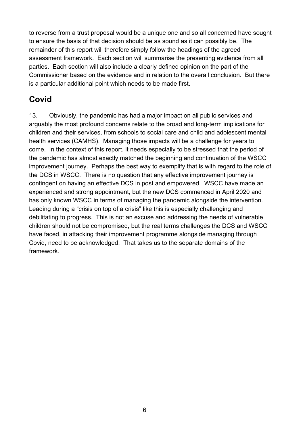to reverse from a trust proposal would be a unique one and so all concerned have sought to ensure the basis of that decision should be as sound as it can possibly be. The remainder of this report will therefore simply follow the headings of the agreed assessment framework. Each section will summarise the presenting evidence from all parties. Each section will also include a clearly defined opinion on the part of the Commissioner based on the evidence and in relation to the overall conclusion. But there is a particular additional point which needs to be made first.

## <span id="page-5-0"></span>**Covid**

13. Obviously, the pandemic has had a major impact on all public services and arguably the most profound concerns relate to the broad and long-term implications for children and their services, from schools to social care and child and adolescent mental health services (CAMHS). Managing those impacts will be a challenge for years to come. In the context of this report, it needs especially to be stressed that the period of the pandemic has almost exactly matched the beginning and continuation of the WSCC improvement journey. Perhaps the best way to exemplify that is with regard to the role of the DCS in WSCC. There is no question that any effective improvement journey is contingent on having an effective DCS in post and empowered. WSCC have made an experienced and strong appointment, but the new DCS commenced in April 2020 and has only known WSCC in terms of managing the pandemic alongside the intervention. Leading during a "crisis on top of a crisis" like this is especially challenging and debilitating to progress. This is not an excuse and addressing the needs of vulnerable children should not be compromised, but the real terms challenges the DCS and WSCC have faced, in attacking their improvement programme alongside managing through Covid, need to be acknowledged. That takes us to the separate domains of the framework.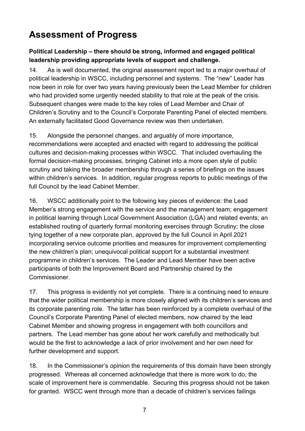## <span id="page-6-0"></span>**Assessment of Progress**

#### **Political Leadership – there should be strong, informed and engaged political leadership providing appropriate levels of support and challenge.**

14. As is well documented, the original assessment report led to a major overhaul of political leadership in WSCC, including personnel and systems. The "new" Leader has now been in role for over two years having previously been the Lead Member for children who had provided some urgently needed stability to that role at the peak of the crisis. Subsequent changes were made to the key roles of Lead Member and Chair of Children's Scrutiny and to the Council's Corporate Parenting Panel of elected members. An externally facilitated Good Governance review was then undertaken.

15. Alongside the personnel changes, and arguably of more importance, recommendations were accepted and enacted with regard to addressing the political cultures and decision-making processes within WSCC. That included overhauling the formal decision-making processes, bringing Cabinet into a more open style of public scrutiny and taking the broader membership through a series of briefings on the issues within children's services. In addition, regular progress reports to public meetings of the full Council by the lead Cabinet Member.

16. WSCC additionally point to the following key pieces of evidence: the Lead Member's strong engagement with the service and the management team; engagement in political learning through Local Government Association (LGA) and related events; an established routing of quarterly formal monitoring exercises through Scrutiny; the close tying together of a new corporate plan, approved by the full Council in April 2021 incorporating service outcome priorities and measures for improvement complementing the new children's plan; unequivocal political support for a substantial investment programme in children's services. The Leader and Lead Member have been active participants of both the Improvement Board and Partnership chaired by the Commissioner.

17. This progress is evidently not yet complete. There is a continuing need to ensure that the wider political membership is more closely aligned with its children's services and its corporate parenting role. The latter has been reinforced by a complete overhaul of the Council's Corporate Parenting Panel of elected members, now chaired by the lead Cabinet Member and showing progress in engagement with both councillors and partners. The Lead member has gone about her work carefully and methodically but would be the first to acknowledge a lack of prior involvement and her own need for further development and support.

18. In the Commissioner's opinion the requirements of this domain have been strongly progressed. Whereas all concerned acknowledge that there is more work to do, the scale of improvement here is commendable. Securing this progress should not be taken for granted. WSCC went through more than a decade of children's services failings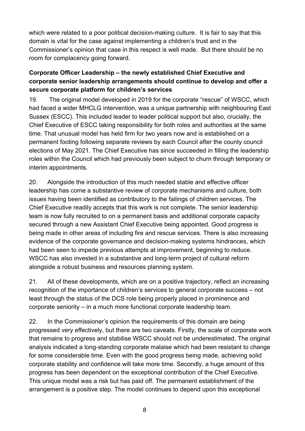which were related to a poor political decision-making culture. It is fair to say that this domain is vital for the case against implementing a children's trust and in the Commissioner's opinion that case in this respect is well made. But there should be no room for complacency going forward.

#### **Corporate Officer Leadership – the newly established Chief Executive and corporate senior leadership arrangements should continue to develop and offer a secure corporate platform for children's services**

19. The original model developed in 2019 for the corporate "rescue" of WSCC, which had faced a wider MHCLG intervention, was a unique partnership with neighbouring East Sussex (ESCC). This included leader to leader political support but also, crucially, the Chief Executive of ESCC taking responsibility for both roles and authorities at the same time. That unusual model has held firm for two years now and is established on a permanent footing following separate reviews by each Council after the county council elections of May 2021. The Chief Executive has since succeeded in filling the leadership roles within the Council which had previously been subject to churn through temporary or interim appointments.

20. Alongside the introduction of this much needed stable and effective officer leadership has come a substantive review of corporate mechanisms and culture, both issues having been identified as contributory to the failings of children services. The Chief Executive readily accepts that this work is not complete. The senior leadership team is now fully recruited to on a permanent basis and additional corporate capacity secured through a new Assistant Chief Executive being appointed. Good progress is being made in other areas of including fire and rescue services. There is also increasing evidence of the corporate governance and decision-making systems hindrances, which had been seen to impede previous attempts at improvement, beginning to reduce. WSCC has also invested in a substantive and long-term project of cultural reform alongside a robust business and resources planning system.

21. All of these developments, which are on a positive trajectory, reflect an increasing recognition of the importance of children's services to general corporate success – not least through the status of the DCS role being properly placed in prominence and corporate seniority – in a much more functional corporate leadership team.

22. In the Commissioner's opinion the requirements of this domain are being progressed very effectively, but there are two caveats. Firstly, the scale of corporate work that remains to progress and stabilise WSCC should not be underestimated. The original analysis indicated a long-standing corporate malaise which had been resistant to change for some considerable time. Even with the good progress being made, achieving solid corporate stability and confidence will take more time. Secondly, a huge amount of this progress has been dependent on the exceptional contribution of the Chief Executive. This unique model was a risk but has paid off. The permanent establishment of the arrangement is a positive step. The model continues to depend upon this exceptional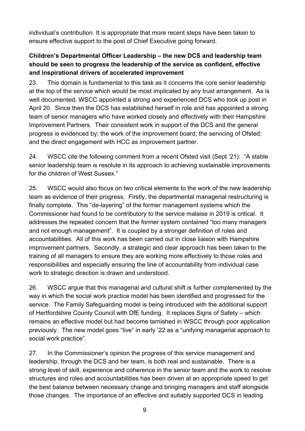individual's contribution. It is appropriate that more recent steps have been taken to ensure effective support to the post of Chief Executive going forward.

#### **Children's Departmental Officer Leadership – the new DCS and leadership team should be seen to progress the leadership of the service as confident, effective and inspirational drivers of accelerated improvement**

23. This domain is fundamental to this task as it concerns the core senior leadership at the top of the service which would be most implicated by any trust arrangement. As is well documented, WSCC appointed a strong and experienced DCS who took up post in April 20. Since then the DCS has established herself in role and has appointed a strong team of senior managers who have worked closely and effectively with their Hampshire Improvement Partners. Their consistent work in support of the DCS and the general progress is evidenced by: the work of the improvement board; the servicing of Ofsted; and the direct engagement with HCC as improvement partner.

24. WSCC cite the following comment from a recent Ofsted visit (Sept '21): "A stable senior leadership team is resolute in its approach to achieving sustainable improvements for the children of West Sussex."

25. WSCC would also focus on two critical elements to the work of the new leadership team as evidence of their progress. Firstly, the departmental managerial restructuring is finally complete. This "de-layering" of the former management systems which the Commissioner had found to be contributory to the service malaise in 2019 is critical. It addresses the repeated concern that the former system contained "too many managers and not enough management". It is coupled by a stronger definition of roles and accountabilities. All of this work has been carried out in close liaison with Hampshire improvement partners. Secondly, a strategic and clear approach has been taken to the training of all managers to ensure they are working more effectively to those roles and responsibilities and especially ensuring the line of accountability from individual case work to strategic direction is drawn and understood.

26. WSCC argue that this managerial and cultural shift is further complemented by the way in which the social work practice model has been identified and progressed for the service. The Family Safeguarding model is being introduced with the additional support of Hertfordshire County Council with DfE funding. It replaces Signs of Safety – which remains an effective model but had become tarnished in WSCC through poor application previously. The new model goes "live" in early '22 as a "unifying managerial approach to social work practice".

27. In the Commissioner's opinion the progress of this service management and leadership, through the DCS and her team, is both real and sustainable. There is a strong level of skill, experience and coherence in the senior team and the work to resolve structures and roles and accountabilities has been driven at an appropriate speed to get the best balance between necessary change and bringing managers and staff alongside those changes. The importance of an effective and suitably supported DCS in leading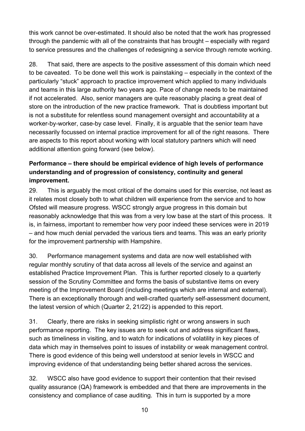this work cannot be over-estimated. It should also be noted that the work has progressed through the pandemic with all of the constraints that has brought – especially with regard to service pressures and the challenges of redesigning a service through remote working.

28. That said, there are aspects to the positive assessment of this domain which need to be caveated. To be done well this work is painstaking – especially in the context of the particularly "stuck" approach to practice improvement which applied to many individuals and teams in this large authority two years ago. Pace of change needs to be maintained if not accelerated. Also, senior managers are quite reasonably placing a great deal of store on the introduction of the new practice framework. That is doubtless important but is not a substitute for relentless sound management oversight and accountability at a worker-by-worker, case-by case level. Finally, it is arguable that the senior team have necessarily focussed on internal practice improvement for all of the right reasons. There are aspects to this report about working with local statutory partners which will need additional attention going forward (see below).

#### **Performance – there should be empirical evidence of high levels of performance understanding and of progression of consistency, continuity and general improvement.**

29. This is arguably the most critical of the domains used for this exercise, not least as it relates most closely both to what children will experience from the service and to how Ofsted will measure progress. WSCC strongly argue progress in this domain but reasonably acknowledge that this was from a very low base at the start of this process. It is, in fairness, important to remember how very poor indeed these services were in 2019 – and how much denial pervaded the various tiers and teams. This was an early priority for the improvement partnership with Hampshire.

30. Performance management systems and data are now well established with regular monthly scrutiny of that data across all levels of the service and against an established Practice Improvement Plan. This is further reported closely to a quarterly session of the Scrutiny Committee and forms the basis of substantive items on every meeting of the Improvement Board (including meetings which are internal and external). There is an exceptionally thorough and well-crafted quarterly self-assessment document, the latest version of which (Quarter 2, 21/22) is appended to this report.

31. Clearly, there are risks in seeking simplistic right or wrong answers in such performance reporting. The key issues are to seek out and address significant flaws, such as timeliness in visiting, and to watch for indications of volatility in key pieces of data which may in themselves point to issues of instability or weak management control. There is good evidence of this being well understood at senior levels in WSCC and improving evidence of that understanding being better shared across the services.

32. WSCC also have good evidence to support their contention that their revised quality assurance (QA) framework is embedded and that there are improvements in the consistency and compliance of case auditing. This in turn is supported by a more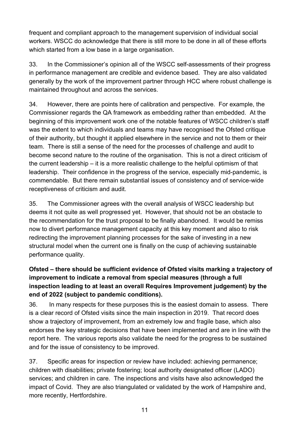frequent and compliant approach to the management supervision of individual social workers. WSCC do acknowledge that there is still more to be done in all of these efforts which started from a low base in a large organisation.

33. In the Commissioner's opinion all of the WSCC self-assessments of their progress in performance management are credible and evidence based. They are also validated generally by the work of the improvement partner through HCC where robust challenge is maintained throughout and across the services.

34. However, there are points here of calibration and perspective. For example, the Commissioner regards the QA framework as embedding rather than embedded. At the beginning of this improvement work one of the notable features of WSCC children's staff was the extent to which individuals and teams may have recognised the Ofsted critique of their authority, but thought it applied elsewhere in the service and not to them or their team. There is still a sense of the need for the processes of challenge and audit to become second nature to the routine of the organisation. This is not a direct criticism of the current leadership – it is a more realistic challenge to the helpful optimism of that leadership. Their confidence in the progress of the service, especially mid-pandemic, is commendable. But there remain substantial issues of consistency and of service-wide receptiveness of criticism and audit.

35. The Commissioner agrees with the overall analysis of WSCC leadership but deems it not quite as well progressed yet. However, that should not be an obstacle to the recommendation for the trust proposal to be finally abandoned. It would be remiss now to divert performance management capacity at this key moment and also to risk redirecting the improvement planning processes for the sake of investing in a new structural model when the current one is finally on the cusp of achieving sustainable performance quality.

#### **Ofsted – there should be sufficient evidence of Ofsted visits marking a trajectory of improvement to indicate a removal from special measures (through a full inspection leading to at least an overall Requires Improvement judgement) by the end of 2022 (subject to pandemic conditions).**

36. In many respects for these purposes this is the easiest domain to assess. There is a clear record of Ofsted visits since the main inspection in 2019. That record does show a trajectory of improvement, from an extremely low and fragile base, which also endorses the key strategic decisions that have been implemented and are in line with the report here. The various reports also validate the need for the progress to be sustained and for the issue of consistency to be improved.

37. Specific areas for inspection or review have included: achieving permanence; children with disabilities; private fostering; local authority designated officer (LADO) services; and children in care. The inspections and visits have also acknowledged the impact of Covid. They are also triangulated or validated by the work of Hampshire and, more recently, Hertfordshire.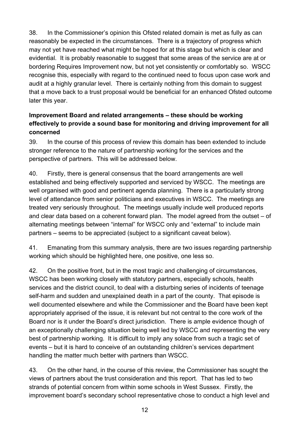38. In the Commissioner's opinion this Ofsted related domain is met as fully as can reasonably be expected in the circumstances. There is a trajectory of progress which may not yet have reached what might be hoped for at this stage but which is clear and evidential. It is probably reasonable to suggest that some areas of the service are at or bordering Requires Improvement now, but not yet consistently or comfortably so. WSCC recognise this, especially with regard to the continued need to focus upon case work and audit at a highly granular level. There is certainly nothing from this domain to suggest that a move back to a trust proposal would be beneficial for an enhanced Ofsted outcome later this year.

#### **Improvement Board and related arrangements – these should be working effectively to provide a sound base for monitoring and driving improvement for all concerned**

39. In the course of this process of review this domain has been extended to include stronger reference to the nature of partnership working for the services and the perspective of partners. This will be addressed below.

40. Firstly, there is general consensus that the board arrangements are well established and being effectively supported and serviced by WSCC. The meetings are well organised with good and pertinent agenda planning. There is a particularly strong level of attendance from senior politicians and executives in WSCC. The meetings are treated very seriously throughout. The meetings usually include well produced reports and clear data based on a coherent forward plan. The model agreed from the outset – of alternating meetings between "internal" for WSCC only and "external" to include main partners – seems to be appreciated (subject to a significant caveat below).

41. Emanating from this summary analysis, there are two issues regarding partnership working which should be highlighted here, one positive, one less so.

42. On the positive front, but in the most tragic and challenging of circumstances, WSCC has been working closely with statutory partners, especially schools, health services and the district council, to deal with a disturbing series of incidents of teenage self-harm and sudden and unexplained death in a part of the county. That episode is well documented elsewhere and while the Commissioner and the Board have been kept appropriately apprised of the issue, it is relevant but not central to the core work of the Board nor is it under the Board's direct jurisdiction. There is ample evidence though of an exceptionally challenging situation being well led by WSCC and representing the very best of partnership working. It is difficult to imply any solace from such a tragic set of events – but it is hard to conceive of an outstanding children's services department handling the matter much better with partners than WSCC.

43. On the other hand, in the course of this review, the Commissioner has sought the views of partners about the trust consideration and this report. That has led to two strands of potential concern from within some schools in West Sussex. Firstly, the improvement board's secondary school representative chose to conduct a high level and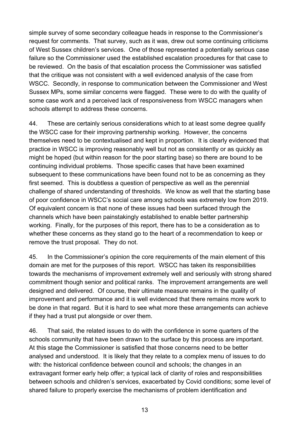simple survey of some secondary colleague heads in response to the Commissioner's request for comments. That survey, such as it was, drew out some continuing criticisms of West Sussex children's services. One of those represented a potentially serious case failure so the Commissioner used the established escalation procedures for that case to be reviewed. On the basis of that escalation process the Commissioner was satisfied that the critique was not consistent with a well evidenced analysis of the case from WSCC. Secondly, in response to communication between the Commissioner and West Sussex MPs, some similar concerns were flagged. These were to do with the quality of some case work and a perceived lack of responsiveness from WSCC managers when schools attempt to address these concerns.

44. These are certainly serious considerations which to at least some degree qualify the WSCC case for their improving partnership working. However, the concerns themselves need to be contextualised and kept in proportion. It is clearly evidenced that practice in WSCC is improving reasonably well but not as consistently or as quickly as might be hoped (but within reason for the poor starting base) so there are bound to be continuing individual problems. Those specific cases that have been examined subsequent to these communications have been found not to be as concerning as they first seemed. This is doubtless a question of perspective as well as the perennial challenge of shared understanding of thresholds. We know as well that the starting base of poor confidence in WSCC's social care among schools was extremely low from 2019. Of equivalent concern is that none of these issues had been surfaced through the channels which have been painstakingly established to enable better partnership working. Finally, for the purposes of this report, there has to be a consideration as to whether these concerns as they stand go to the heart of a recommendation to keep or remove the trust proposal. They do not.

45. In the Commissioner's opinion the core requirements of the main element of this domain are met for the purposes of this report. WSCC has taken its responsibilities towards the mechanisms of improvement extremely well and seriously with strong shared commitment though senior and political ranks. The improvement arrangements are well designed and delivered. Of course, their ultimate measure remains in the quality of improvement and performance and it is well evidenced that there remains more work to be done in that regard. But it is hard to see what more these arrangements can achieve if they had a trust put alongside or over them.

46. That said, the related issues to do with the confidence in some quarters of the schools community that have been drawn to the surface by this process are important. At this stage the Commissioner is satisfied that those concerns need to be better analysed and understood. It is likely that they relate to a complex menu of issues to do with: the historical confidence between council and schools; the changes in an extravagant former early help offer; a typical lack of clarity of roles and responsibilities between schools and children's services, exacerbated by Covid conditions; some level of shared failure to properly exercise the mechanisms of problem identification and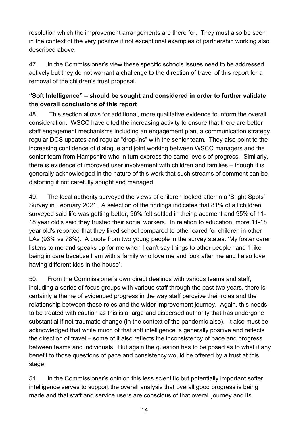resolution which the improvement arrangements are there for. They must also be seen in the context of the very positive if not exceptional examples of partnership working also described above.

47. In the Commissioner's view these specific schools issues need to be addressed actively but they do not warrant a challenge to the direction of travel of this report for a removal of the children's trust proposal.

#### **"Soft Intelligence" – should be sought and considered in order to further validate the overall conclusions of this report**

48. This section allows for additional, more qualitative evidence to inform the overall consideration. WSCC have cited the increasing activity to ensure that there are better staff engagement mechanisms including an engagement plan, a communication strategy, regular DCS updates and regular "drop-ins" with the senior team. They also point to the increasing confidence of dialogue and joint working between WSCC managers and the senior team from Hampshire who in turn express the same levels of progress. Similarly, there is evidence of improved user involvement with children and families – though it is generally acknowledged in the nature of this work that such streams of comment can be distorting if not carefully sought and managed.

49. The local authority surveyed the views of children looked after in a 'Bright Spots' Survey in February 2021. A selection of the findings indicates that 81% of all children surveyed said life was getting better, 96% felt settled in their placement and 95% of 11- 18 year old's said they trusted their social workers. In relation to education, more 11-18 year old's reported that they liked school compared to other cared for children in other LAs (93% vs 78%). A quote from two young people in the survey states: 'My foster carer listens to me and speaks up for me when I can't say things to other people ' and 'I like being in care because I am with a family who love me and look after me and I also love having different kids in the house'.

50. From the Commissioner's own direct dealings with various teams and staff, including a series of focus groups with various staff through the past two years, there is certainly a theme of evidenced progress in the way staff perceive their roles and the relationship between those roles and the wider improvement journey. Again, this needs to be treated with caution as this is a large and dispersed authority that has undergone substantial if not traumatic change (in the context of the pandemic also). It also must be acknowledged that while much of that soft intelligence is generally positive and reflects the direction of travel – some of it also reflects the inconsistency of pace and progress between teams and individuals. But again the question has to be posed as to what if any benefit to those questions of pace and consistency would be offered by a trust at this stage.

51. In the Commissioner's opinion this less scientific but potentially important softer intelligence serves to support the overall analysis that overall good progress is being made and that staff and service users are conscious of that overall journey and its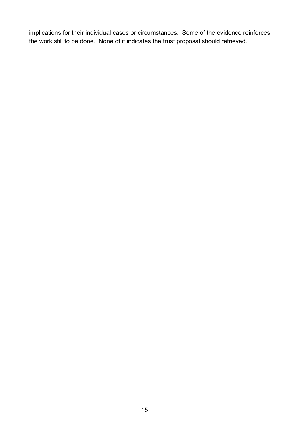implications for their individual cases or circumstances. Some of the evidence reinforces the work still to be done. None of it indicates the trust proposal should retrieved.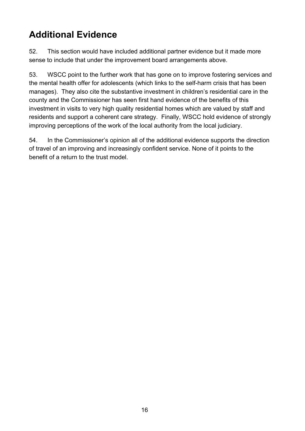# <span id="page-15-0"></span>**Additional Evidence**

52. This section would have included additional partner evidence but it made more sense to include that under the improvement board arrangements above.

53. WSCC point to the further work that has gone on to improve fostering services and the mental health offer for adolescents (which links to the self-harm crisis that has been manages). They also cite the substantive investment in children's residential care in the county and the Commissioner has seen first hand evidence of the benefits of this investment in visits to very high quality residential homes which are valued by staff and residents and support a coherent care strategy. Finally, WSCC hold evidence of strongly improving perceptions of the work of the local authority from the local judiciary.

54. In the Commissioner's opinion all of the additional evidence supports the direction of travel of an improving and increasingly confident service. None of it points to the benefit of a return to the trust model.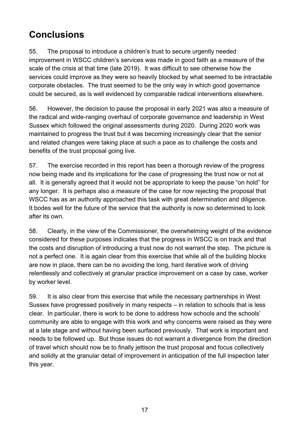# <span id="page-16-0"></span>**Conclusions**

55. The proposal to introduce a children's trust to secure urgently needed improvement in WSCC children's services was made in good faith as a measure of the scale of the crisis at that time (late 2019). It was difficult to see otherwise how the services could improve as they were so heavily blocked by what seemed to be intractable corporate obstacles. The trust seemed to be the only way in which good governance could be secured, as is well evidenced by comparable radical interventions elsewhere.

56. However, the decision to pause the proposal in early 2021 was also a measure of the radical and wide-ranging overhaul of corporate governance and leadership in West Sussex which followed the original assessments during 2020. During 2020 work was maintained to progress the trust but it was becoming increasingly clear that the senior and related changes were taking place at such a pace as to challenge the costs and benefits of the trust proposal going live.

57. The exercise recorded in this report has been a thorough review of the progress now being made and its implications for the case of progressing the trust now or not at all. It is generally agreed that it would not be appropriate to keep the pause "on hold" for any longer. It is perhaps also a measure of the case for now rejecting the proposal that WSCC has as an authority approached this task with great determination and diligence. It bodes well for the future of the service that the authority is now so determined to look after its own.

58. Clearly, in the view of the Commissioner, the overwhelming weight of the evidence considered for these purposes indicates that the progress in WSCC is on track and that the costs and disruption of introducing a trust now do not warrant the step. The picture is not a perfect one. It is again clear from this exercise that while all of the building blocks are now in place, there can be no avoiding the long, hard iterative work of driving relentlessly and collectively at granular practice improvement on a case by case, worker by worker level.

59. It is also clear from this exercise that while the necessary partnerships in West Sussex have progressed positively in many respects – in relation to schools that is less clear. In particular, there is work to be done to address how schools and the schools' community are able to engage with this work and why concerns were raised as they were at a late stage and without having been surfaced previously. That work is important and needs to be followed up. But those issues do not warrant a divergence from the direction of travel which should now be to finally jettison the trust proposal and focus collectively and solidly at the granular detail of improvement in anticipation of the full inspection later this year.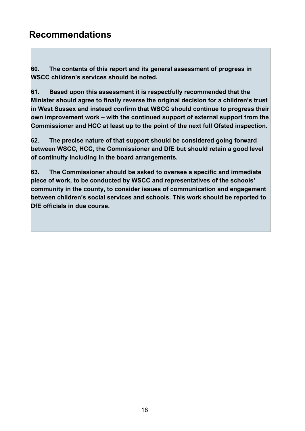## <span id="page-17-0"></span>**Recommendations**

**60. The contents of this report and its general assessment of progress in WSCC children's services should be noted.**

**61. Based upon this assessment it is respectfully recommended that the Minister should agree to finally reverse the original decision for a children's trust in West Sussex and instead confirm that WSCC should continue to progress their own improvement work – with the continued support of external support from the Commissioner and HCC at least up to the point of the next full Ofsted inspection.**

**62. The precise nature of that support should be considered going forward between WSCC, HCC, the Commissioner and DfE but should retain a good level of continuity including in the board arrangements.**

**63. The Commissioner should be asked to oversee a specific and immediate piece of work, to be conducted by WSCC and representatives of the schools' community in the county, to consider issues of communication and engagement between children's social services and schools. This work should be reported to DfE officials in due course.**